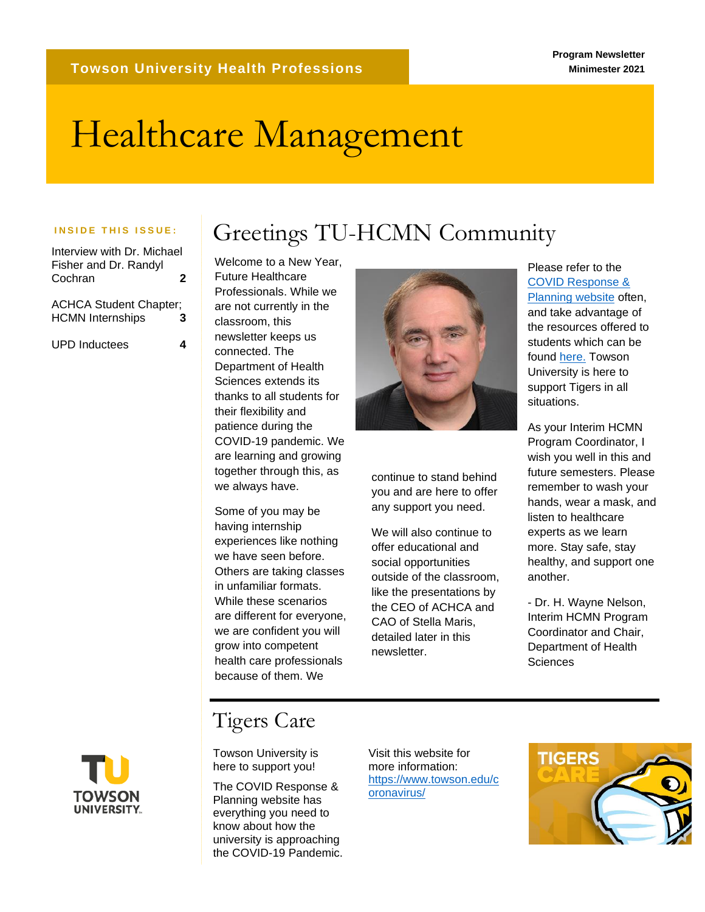# Healthcare Management

Interview with Dr. Michael Fisher and Dr. Randyl Cochran **2**

ACHCA Student Chapter; HCMN Internships **3**

UPD Inductees **4**

INSIDE THIS ISSUE: | Greetings TU-HCMN Community

Welcome to a New Year, Future Healthcare Professionals. While we are not currently in the classroom, this newsletter keeps us connected. The Department of Health Sciences extends its thanks to all students for their flexibility and patience during the COVID-19 pandemic. We are learning and growing together through this, as we always have.

Some of you may be having internship experiences like nothing we have seen before. Others are taking classes in unfamiliar formats. While these scenarios are different for everyone, we are confident you will grow into competent health care professionals because of them. We



continue to stand behind you and are here to offer any support you need.

We will also continue to offer educational and social opportunities outside of the classroom, like the presentations by the CEO of ACHCA and CAO of Stella Maris, detailed later in this newsletter.

Please refer to the [COVID Response &](https://www.towson.edu/coronavirus/)  [Planning website](https://www.towson.edu/coronavirus/) often, and take advantage of the resources offered to students which can be found [here.](https://www.towson.edu/coronavirus/students.html) Towson University is here to support Tigers in all situations.

As your Interim HCMN Program Coordinator, I wish you well in this and future semesters. Please remember to wash your hands, wear a mask, and listen to healthcare experts as we learn more. Stay safe, stay healthy, and support one another.

- Dr. H. Wayne Nelson, Interim HCMN Program Coordinator and Chair, Department of Health **Sciences** 



### Tigers Care

Towson University is here to support you!

The COVID Response & Planning website has everything you need to know about how the university is approaching the COVID-19 Pandemic.

Visit this website for more information: [https://www.towson.edu/c](https://www.towson.edu/coronavirus/) [oronavirus/](https://www.towson.edu/coronavirus/)

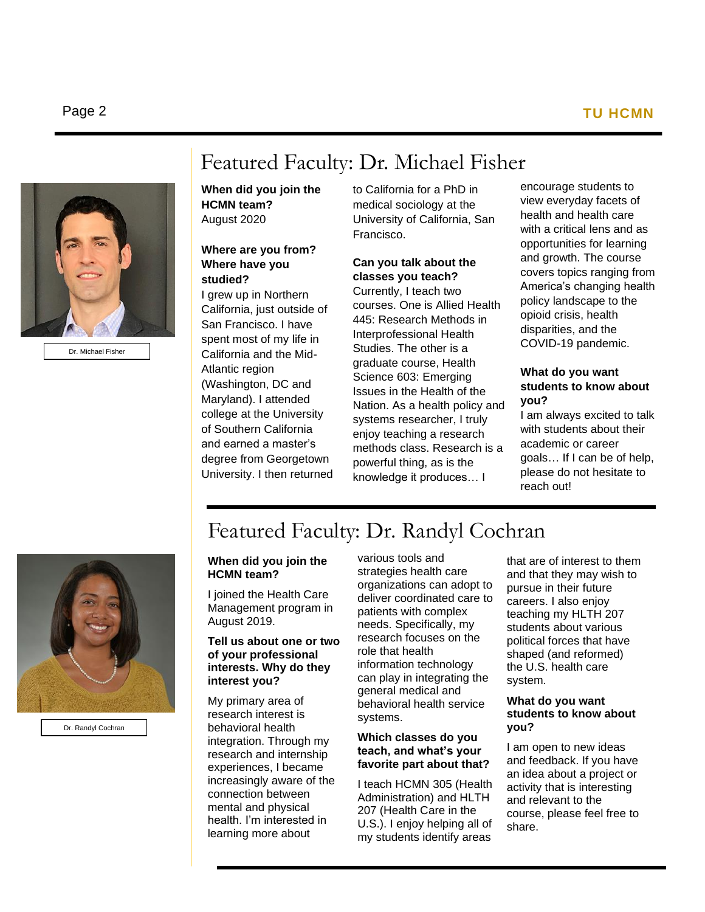### Page 2 **TU HCMN**



Dr. Michael Fisher

### Featured Faculty: Dr. Michael Fisher

**When did you join the HCMN team?** August 2020

#### **Where are you from? Where have you studied?**

I grew up in Northern California, just outside of San Francisco. I have spent most of my life in California and the Mid-Atlantic region (Washington, DC and Maryland). I attended college at the University of Southern California and earned a master's degree from Georgetown University. I then returned to California for a PhD in medical sociology at the University of California, San Francisco.

#### **Can you talk about the classes you teach?**

Currently, I teach two courses. One is Allied Health 445: Research Methods in Interprofessional Health Studies. The other is a graduate course, Health Science 603: Emerging Issues in the Health of the Nation. As a health policy and systems researcher, I truly enjoy teaching a research methods class. Research is a powerful thing, as is the knowledge it produces… I

encourage students to view everyday facets of health and health care with a critical lens and as opportunities for learning and growth. The course covers topics ranging from America's changing health policy landscape to the opioid crisis, health disparities, and the COVID-19 pandemic.

#### **What do you want students to know about you?**

I am always excited to talk with students about their academic or career goals… If I can be of help, please do not hesitate to reach out!



Dr. Randyl Cochran

## Featured Faculty: Dr. Randyl Cochran

#### **When did you join the HCMN team?**

I joined the Health Care Management program in August 2019.

#### **Tell us about one or two of your professional interests. Why do they interest you?**

My primary area of research interest is behavioral health integration. Through my research and internship experiences, I became increasingly aware of the connection between mental and physical health. I'm interested in learning more about

various tools and strategies health care organizations can adopt to deliver coordinated care to patients with complex needs. Specifically, my research focuses on the role that health information technology can play in integrating the general medical and behavioral health service systems.

#### **Which classes do you teach, and what's your favorite part about that?**

I teach HCMN 305 (Health Administration) and HLTH 207 (Health Care in the U.S.). I enjoy helping all of my students identify areas

that are of interest to them and that they may wish to pursue in their future careers. I also enjoy teaching my HLTH 207 students about various political forces that have shaped (and reformed) the U.S. health care system.

#### **What do you want students to know about you?**

I am open to new ideas and feedback. If you have an idea about a project or activity that is interesting and relevant to the course, please feel free to share.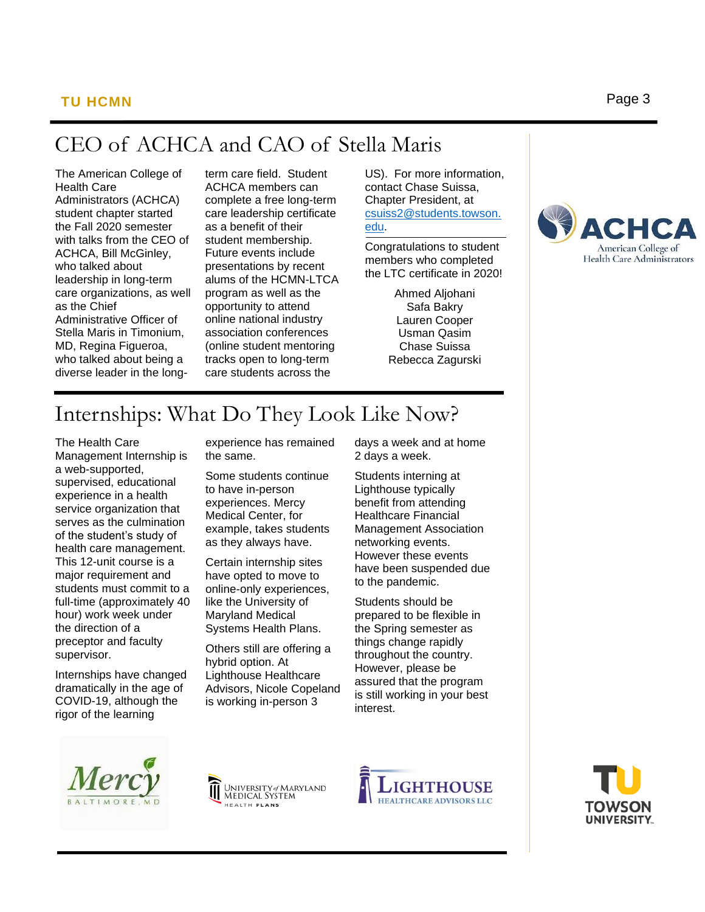### CEO of ACHCA and CAO of Stella Maris

The American College of Health Care Administrators (ACHCA) student chapter started the Fall 2020 semester with talks from the CEO of ACHCA, Bill McGinley, who talked about leadership in long-term care organizations, as well as the Chief Administrative Officer of Stella Maris in Timonium, MD, Regina Figueroa, who talked about being a diverse leader in the longterm care field. Student ACHCA members can complete a free long-term care leadership certificate as a benefit of their student membership. Future events include presentations by recent alums of the HCMN-LTCA program as well as the opportunity to attend online national industry association conferences (online student mentoring tracks open to long-term care students across the

US). For more information, contact Chase Suissa, Chapter President, at [csuiss2@students.towson.](mailto:csuiss2@students.towson.edu) [edu.](mailto:csuiss2@students.towson.edu)

Congratulations to student members who completed the LTC certificate in 2020!

> Ahmed Aljohani Safa Bakry Lauren Cooper Usman Qasim Chase Suissa Rebecca Zagurski



## Internships: What Do They Look Like Now?

The Health Care Management Internship is a web-supported, supervised, educational experience in a health service organization that serves as the culmination of the student's study of health care management. This 12-unit course is a major requirement and students must commit to a full-time (approximately 40 hour) work week under the direction of a preceptor and faculty supervisor.

Internships have changed dramatically in the age of COVID-19, although the rigor of the learning

experience has remained the same.

Some students continue to have in-person experiences. Mercy Medical Center, for example, takes students as they always have.

Certain internship sites have opted to move to online-only experiences, like the University of Maryland Medical Systems Health Plans.

Others still are offering a hybrid option. At Lighthouse Healthcare Advisors, Nicole Copeland is working in-person 3

days a week and at home 2 days a week.

Students interning at Lighthouse typically benefit from attending Healthcare Financial Management Association networking events. However these events have been suspended due to the pandemic.

Students should be prepared to be flexible in the Spring semester as things change rapidly throughout the country. However, please be assured that the program is still working in your best interest.